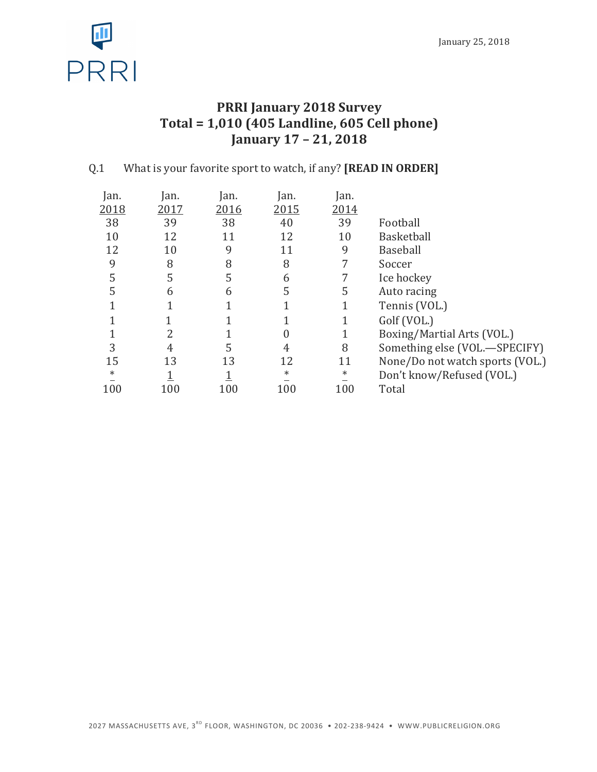

# **PRRI January 2018 Survey Total = 1,010 (405 Landline, 605 Cell phone) January 17 – 21, 2018**

## Q.1 What is your favorite sport to watch, if any? **[READ IN ORDER]**

| Jan.   | Jan. | an.  | Jan.   | Jan.   |                                 |
|--------|------|------|--------|--------|---------------------------------|
| 2018   | 2017 | 2016 | 2015   | 2014   |                                 |
| 38     | 39   | 38   | 40     | 39     | Football                        |
| 10     | 12   | 11   | 12     | 10     | <b>Basketball</b>               |
| 12     | 10   | 9    | 11     | 9      | <b>Baseball</b>                 |
| 9      | 8    | 8    | 8      | 7      | Soccer                          |
| 5      | 5    | 5    | 6      |        | Ice hockey                      |
| 5      | 6    | 6    | 5      | 5      | Auto racing                     |
|        |      |      |        |        | Tennis (VOL.)                   |
|        |      |      |        |        | Golf (VOL.)                     |
|        |      |      |        |        | Boxing/Martial Arts (VOL.)      |
| 3      | 4    | 5    | 4      | 8      | Something else (VOL.-SPECIFY)   |
| 15     | 13   | 13   | 12     | 11     | None/Do not watch sports (VOL.) |
| $\ast$ |      |      | $\ast$ | $\ast$ | Don't know/Refused (VOL.)       |
| 100    | 100  | 100  | 100    | 100    | Total                           |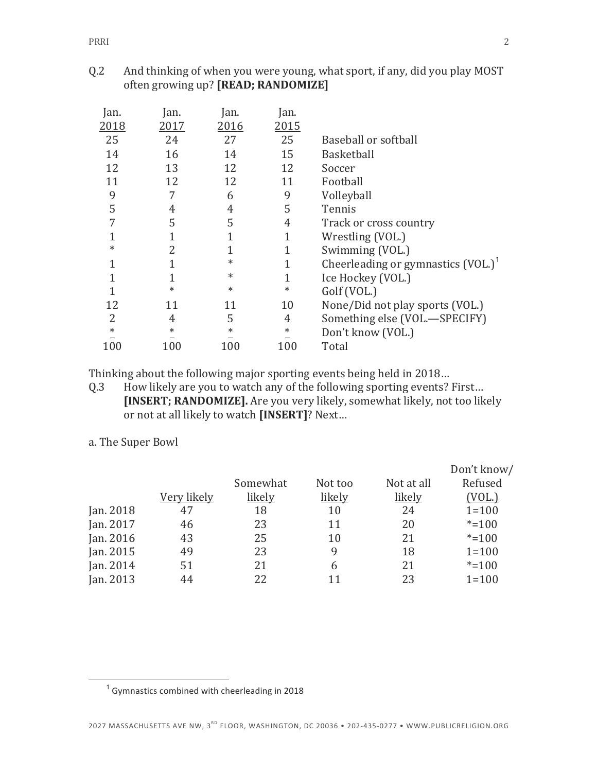### Q.2 And thinking of when you were young, what sport, if any, did you play MOST often growing up? [READ; RANDOMIZE]

| an.    | an.    | an.    |                                                  |
|--------|--------|--------|--------------------------------------------------|
|        |        |        |                                                  |
| 24     | 27     | 25     | Baseball or softball                             |
| 16     | 14     | 15     | <b>Basketball</b>                                |
| 13     | 12     | 12     | Soccer                                           |
| 12     | 12     | 11     | Football                                         |
|        | 6      | 9      | Volleyball                                       |
| 4      | 4      | 5      | Tennis                                           |
| 5      | 5      | 4      | Track or cross country                           |
|        |        | 1      | Wrestling (VOL.)                                 |
| 2      |        | 1      | Swimming (VOL.)                                  |
|        | $\ast$ | 1      | Cheerleading or gymnastics $(VOL.)$ <sup>1</sup> |
|        | $\ast$ | 1      | Ice Hockey (VOL.)                                |
| $\ast$ | $\ast$ | $\ast$ | Golf (VOL.)                                      |
| 11     | 11     | 10     | None/Did not play sports (VOL.)                  |
| 4      | 5      | 4      | Something else (VOL.-SPECIFY)                    |
| $\ast$ | $\ast$ | $\ast$ | Don't know (VOL.)                                |
| 100    | 100    | 100    | Total                                            |
|        | 2017   | 2016   | 2015                                             |

Thinking about the following major sporting events being held in 2018...

Q.3 How likely are you to watch any of the following sporting events? First... [INSERT; RANDOMIZE]. Are you very likely, somewhat likely, not too likely or not at all likely to watch [INSERT]? Next...

a. The Super Bowl

|           |             |          |         |            | Don't know/ |
|-----------|-------------|----------|---------|------------|-------------|
|           |             | Somewhat | Not too | Not at all | Refused     |
|           | Very likely | likely   | likely  | likely     | (VOL.)      |
| Jan. 2018 | 47          | 18       | 10      | 24         | $1 = 100$   |
| Jan. 2017 | 46          | 23       | 11      | 20         | $* = 100$   |
| Jan. 2016 | 43          | 25       | 10      | 21         | $* = 100$   |
| Jan. 2015 | 49          | 23       | 9       | 18         | $1 = 100$   |
| Jan. 2014 | 51          | 21       | 6       | 21         | $* = 100$   |
| Jan. 2013 | 44          | 22       | 11      | 23         | $1 = 100$   |

 $1$  Gymnastics combined with cheerleading in 2018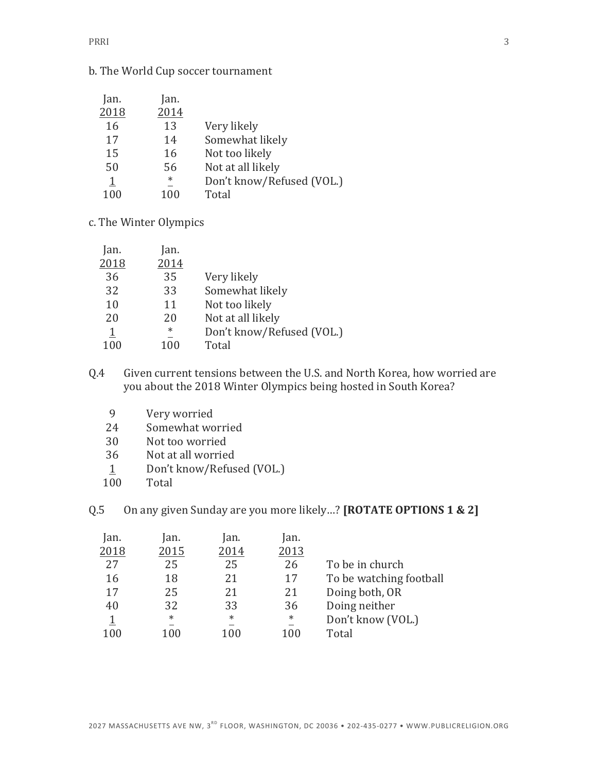#### b. The World Cup soccer tournament

| Jan. | Jan.   |                           |
|------|--------|---------------------------|
| 2018 | 2014   |                           |
| 16   | 13     | Very likely               |
| 17   | 14     | Somewhat likely           |
| 15   | 16     | Not too likely            |
| 50   | 56     | Not at all likely         |
| 1    | $\ast$ | Don't know/Refused (VOL.) |
| 100  | 100    | Total                     |

c. The Winter Olympics

| Jan.                    | Jan.   |                           |
|-------------------------|--------|---------------------------|
| 2018                    | 2014   |                           |
| 36                      | 35     | Very likely               |
| 32                      | 33     | Somewhat likely           |
| 10                      | 11     | Not too likely            |
| 20                      | 20     | Not at all likely         |
| $\overline{\mathbb{1}}$ | $\ast$ | Don't know/Refused (VOL.) |
| 100                     | 100    | Total                     |
|                         |        |                           |

Q.4 Given current tensions between the U.S. and North Korea, how worried are you about the 2018 Winter Olympics being hosted in South Korea?

- 9 Very worried
- 24 Somewhat worried
- 30 Not too worried
- 36 Not at all worried
- 1 Don't know/Refused (VOL.)
- 100 Total

Q.5 On any given Sunday are you more likely...? **[ROTATE OPTIONS 1 & 2]** 

| Jan.<br>2018   | Jan.<br>2015 | Jan.<br>2014                       | Jan.<br>2013 |                         |
|----------------|--------------|------------------------------------|--------------|-------------------------|
| 27             | 25           | 25                                 | 26           | To be in church         |
| 16             | 18           | 21                                 | 17           | To be watching football |
| 17             | 25           | 21                                 | 21           | Doing both, OR          |
| 40             | 32           | 33                                 | 36           | Doing neither           |
| $\overline{1}$ | $\ast$       | $\ast$<br>$\overline{\phantom{0}}$ | $\ast$       | Don't know (VOL.)       |
| 100            | 100          | 100                                | 100          | Total                   |
|                |              |                                    |              |                         |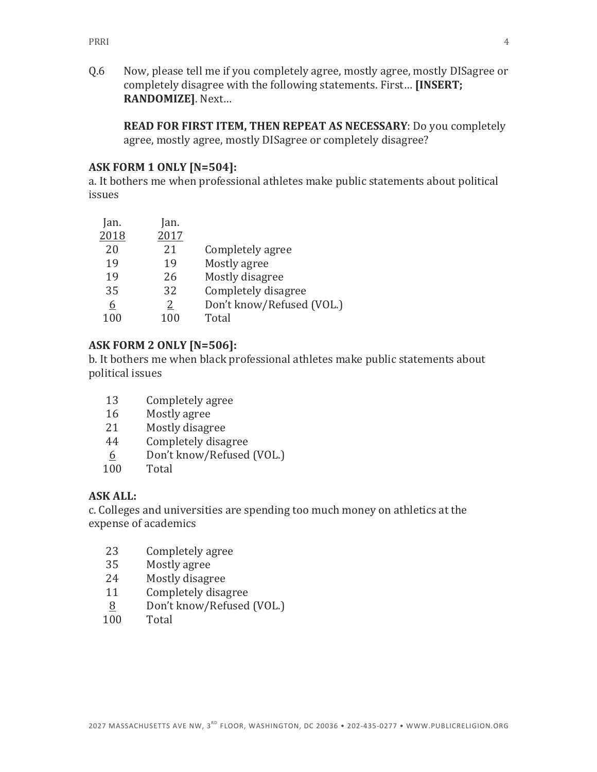Q.6 Now, please tell me if you completely agree, mostly agree, mostly DISagree or completely disagree with the following statements. First... [INSERT; **RANDOMIZE]**. Next… 

**READ FOR FIRST ITEM, THEN REPEAT AS NECESSARY:** Do you completely agree, mostly agree, mostly DISagree or completely disagree?

#### **ASK FORM 1 ONLY [N=504]:**

a. It bothers me when professional athletes make public statements about political issues

| Jan. | lan. |                           |
|------|------|---------------------------|
| 2018 | 2017 |                           |
| 20   | 21   | Completely agree          |
| 19   | 19   | Mostly agree              |
| 19   | 26   | Mostly disagree           |
| 35   | 32   | Completely disagree       |
| 6    | 2    | Don't know/Refused (VOL.) |
| 100  | 100  | Total                     |

#### **ASK FORM 2 ONLY [N=506]:**

b. It bothers me when black professional athletes make public statements about political issues

- 13 Completely agree
- 16 Mostly agree
- 21 Mostly disagree
- 44 Completely disagree
- 6 Don't know/Refused (VOL.)
- 100 Total

#### **ASK ALL:**

c. Colleges and universities are spending too much money on athletics at the expense of academics

- 23 Completely agree
- 35 Mostly agree
- 24 Mostly disagree
- 11 Completely disagree
- 8 Don't know/Refused (VOL.)
- 100 Total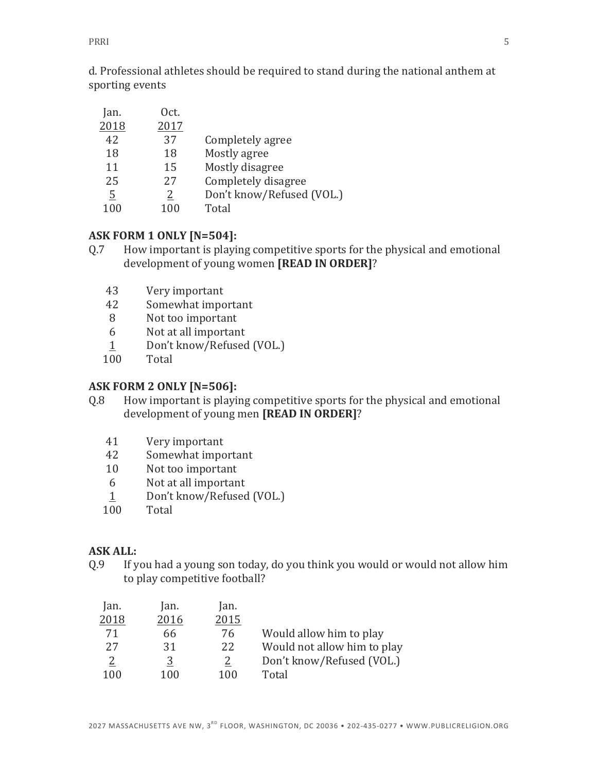d. Professional athletes should be required to stand during the national anthem at sporting events

| Jan. | Oct. |                           |
|------|------|---------------------------|
| 2018 | 2017 |                           |
| 42   | 37   | Completely agree          |
| 18   | 18   | Mostly agree              |
| 11   | 15   | Mostly disagree           |
| 25   | 27   | Completely disagree       |
| 5    | 2    | Don't know/Refused (VOL.) |
| 100  | 100  | Total                     |

#### **ASK FORM 1 ONLY [N=504]:**

- Q.7 How important is playing competitive sports for the physical and emotional development of young women [READ IN ORDER]?
	- 43 Very important
	- 42 Somewhat important
	- 8 Not too important
	- 6 Not at all important
	- 1 Don't know/Refused (VOL.)
	- 100 Total

#### **ASK FORM 2 ONLY [N=506]:**

- Q.8 How important is playing competitive sports for the physical and emotional development of young men [READ IN ORDER]?
	- 41 Very important
	- 42 Somewhat important
	- 10 Not too important
	- 6 Not at all important
	- 1 Don't know/Refused (VOL.)
	- 100 Total

#### **ASK ALL:**

Q.9 If you had a young son today, do you think you would or would not allow him to play competitive football?

| Jan.           | Jan. | Jan. |                             |
|----------------|------|------|-----------------------------|
| 2018           | 2016 | 2015 |                             |
| 71             | 66   | 76   | Would allow him to play     |
| 27             | 31   | 22   | Would not allow him to play |
| $\overline{2}$ | 3    | 2    | Don't know/Refused (VOL.)   |
| 100            | 100  | 100  | Total                       |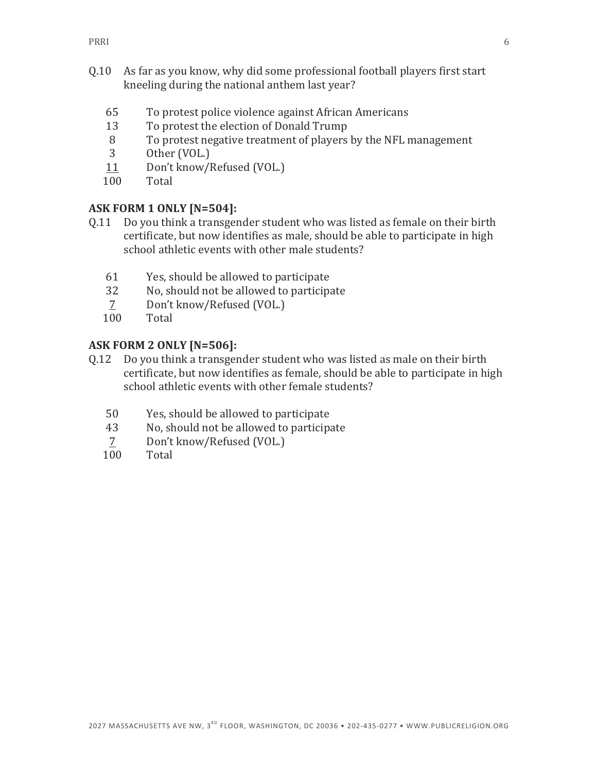- Q.10 As far as you know, why did some professional football players first start kneeling during the national anthem last year?
	- 65 To protest police violence against African Americans
	- 13 To protest the election of Donald Trump
	- 8 To protest negative treatment of players by the NFL management
	- 3 Other (VOL.)
	- 11 Don't know/Refused (VOL.)
	- 100 Total

#### **ASK FORM 1 ONLY [N=504]:**

- Q.11 Do you think a transgender student who was listed as female on their birth certificate, but now identifies as male, should be able to participate in high school athletic events with other male students?
	- 61 Yes, should be allowed to participate
	- 32 No, should not be allowed to participate
	- 7 Don't know/Refused (VOL.)
	- 100 Total

#### **ASK FORM 2 ONLY [N=506]:**

- Q.12 Do you think a transgender student who was listed as male on their birth certificate, but now identifies as female, should be able to participate in high school athletic events with other female students?
	- 50 Yes, should be allowed to participate
	- 43 No, should not be allowed to participate
	- 7 Don't know/Refused (VOL.)
	- 100 Total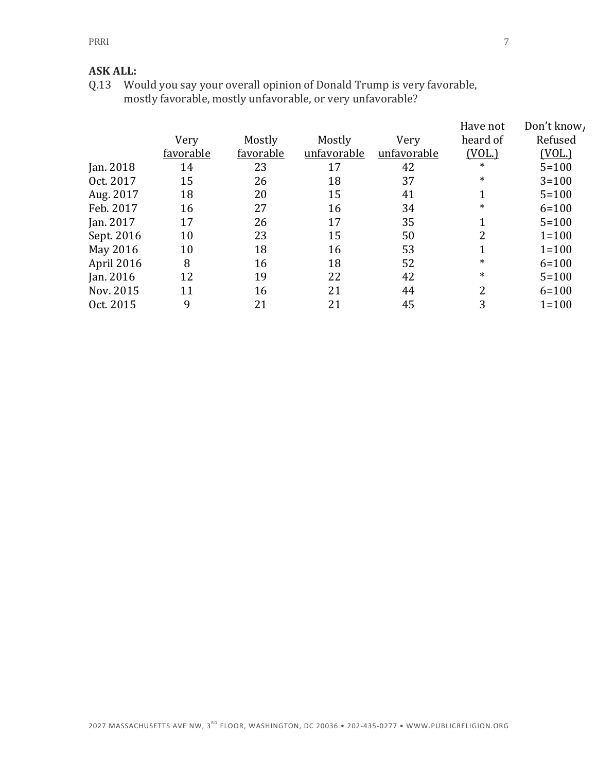#### **ASK ALL:**

Q.13 Would you say your overall opinion of Donald Trump is very favorable, mostly favorable, mostly unfavorable, or very unfavorable?

|            |           |           |             |             | Have not | Don't know |
|------------|-----------|-----------|-------------|-------------|----------|------------|
|            | Very      | Mostly    | Mostly      | Very        | heard of | Refused    |
|            | favorable | favorable | unfavorable | unfavorable | (VOL.)   | (VOL.)     |
| Jan. 2018  | 14        | 23        | 17          | 42          | $\ast$   | $5 = 100$  |
| Oct. 2017  | 15        | 26        | 18          | 37          | $\ast$   | $3 = 100$  |
| Aug. 2017  | 18        | 20        | 15          | 41          |          | $5 = 100$  |
| Feb. 2017  | 16        | 27        | 16          | 34          | $\ast$   | $6 = 100$  |
| Jan. 2017  | 17        | 26        | 17          | 35          |          | $5 = 100$  |
| Sept. 2016 | 10        | 23        | 15          | 50          | 2        | $1 = 100$  |
| May 2016   | 10        | 18        | 16          | 53          | 1        | $1 = 100$  |
| April 2016 | 8         | 16        | 18          | 52          | $\ast$   | $6 = 100$  |
| Jan. 2016  | 12        | 19        | 22          | 42          | $\ast$   | $5 = 100$  |
| Nov. 2015  | 11        | 16        | 21          | 44          | 2        | $6 = 100$  |
| Oct. 2015  | 9         | 21        | 21          | 45          | 3        | $1 = 100$  |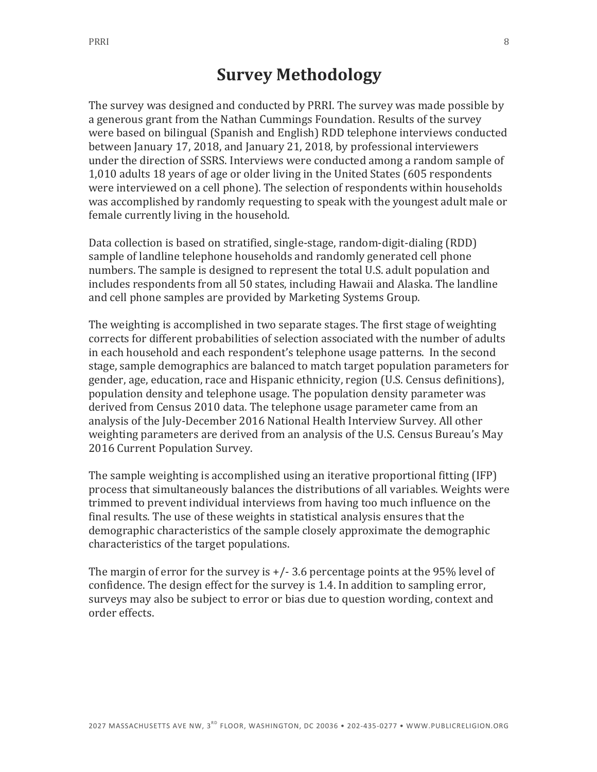# **Survey Methodology**

The survey was designed and conducted by PRRI. The survey was made possible by a generous grant from the Nathan Cummings Foundation. Results of the survey were based on bilingual (Spanish and English) RDD telephone interviews conducted between January 17, 2018, and January 21, 2018, by professional interviewers under the direction of SSRS. Interviews were conducted among a random sample of 1,010 adults 18 years of age or older living in the United States (605 respondents were interviewed on a cell phone). The selection of respondents within households was accomplished by randomly requesting to speak with the youngest adult male or female currently living in the household.

Data collection is based on stratified, single-stage, random-digit-dialing (RDD) sample of landline telephone households and randomly generated cell phone numbers. The sample is designed to represent the total U.S. adult population and includes respondents from all 50 states, including Hawaii and Alaska. The landline and cell phone samples are provided by Marketing Systems Group.

The weighting is accomplished in two separate stages. The first stage of weighting corrects for different probabilities of selection associated with the number of adults in each household and each respondent's telephone usage patterns. In the second stage, sample demographics are balanced to match target population parameters for gender, age, education, race and Hispanic ethnicity, region (U.S. Census definitions), population density and telephone usage. The population density parameter was derived from Census 2010 data. The telephone usage parameter came from an analysis of the July-December 2016 National Health Interview Survey. All other weighting parameters are derived from an analysis of the U.S. Census Bureau's May 2016 Current Population Survey.

The sample weighting is accomplished using an iterative proportional fitting (IFP) process that simultaneously balances the distributions of all variables. Weights were trimmed to prevent individual interviews from having too much influence on the final results. The use of these weights in statistical analysis ensures that the demographic characteristics of the sample closely approximate the demographic characteristics of the target populations.

The margin of error for the survey is  $+/- 3.6$  percentage points at the 95% level of confidence. The design effect for the survey is 1.4. In addition to sampling error, surveys may also be subject to error or bias due to question wording, context and order effects.